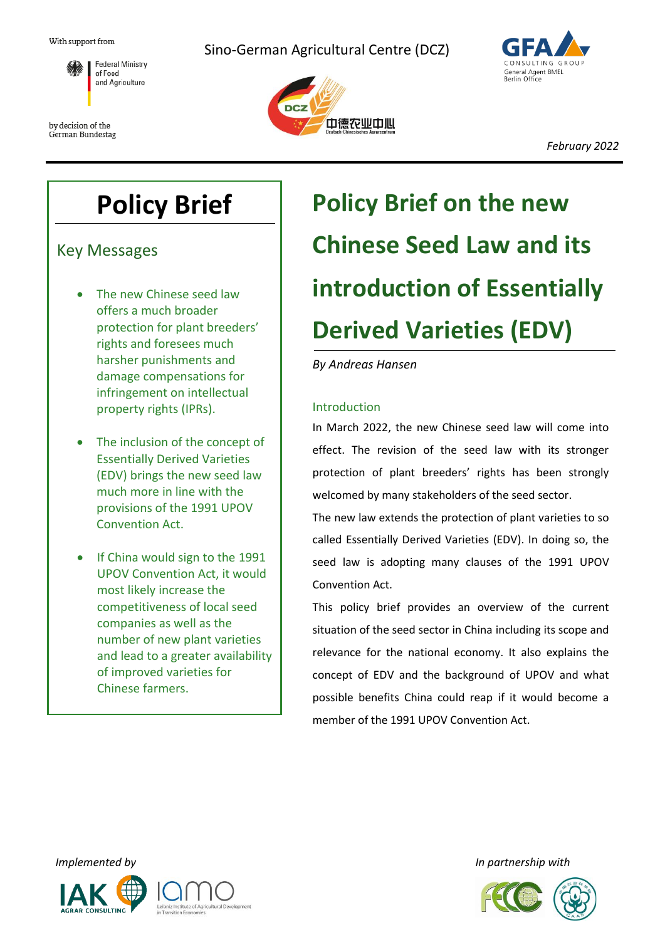

by decision of the German Bundestag Sino-German Agricultural Centre (DCZ)





*February 2022*

## **Policy Brief**

Key Messages

- The new Chinese seed law offers a much broader protection for plant breeders' rights and foresees much harsher punishments and damage compensations for infringement on intellectual property rights (IPRs).
- The inclusion of the concept of Essentially Derived Varieties (EDV) brings the new seed law much more in line with the provisions of the 1991 UPOV Convention Act.
- If China would sign to the 1991 UPOV Convention Act, it would most likely increase the competitiveness of local seed companies as well as the number of new plant varieties and lead to a greater availability of improved varieties for Chinese farmers.

# **Policy Brief on the new Chinese Seed Law and its introduction of Essentially Derived Varieties (EDV)**

## *By Andreas Hansen*

## Introduction

In March 2022, the new Chinese seed law will come into effect. The revision of the seed law with its stronger protection of plant breeders' rights has been strongly welcomed by many stakeholders of the seed sector.

The new law extends the protection of plant varieties to so called Essentially Derived Varieties (EDV). In doing so, the seed law is adopting many clauses of the 1991 UPOV Convention Act.

This policy brief provides an overview of the current situation of the seed sector in China including its scope and relevance for the national economy. It also explains the concept of EDV and the background of UPOV and what possible benefits China could reap if it would become a member of the 1991 UPOV Convention Act.





*Implemented by In partnership with*

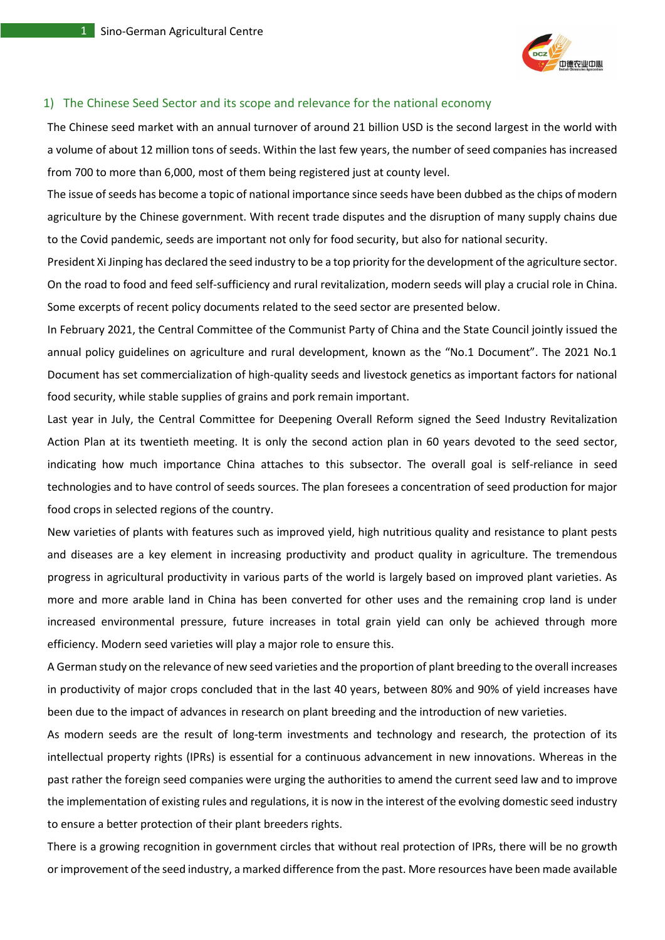

### 1) The Chinese Seed Sector and its scope and relevance for the national economy

The Chinese seed market with an annual turnover of around 21 billion USD is the second largest in the world with a volume of about 12 million tons of seeds. Within the last few years, the number of seed companies has increased from 700 to more than 6,000, most of them being registered just at county level.

The issue of seeds has become a topic of national importance since seeds have been dubbed as the chips of modern agriculture by the Chinese government. With recent trade disputes and the disruption of many supply chains due to the Covid pandemic, seeds are important not only for food security, but also for national security.

President Xi Jinping has declared the seed industry to be a top priority for the development of the agriculture sector. On the road to food and feed self-sufficiency and rural revitalization, modern seeds will play a crucial role in China. Some excerpts of recent policy documents related to the seed sector are presented below.

In February 2021, the Central Committee of the Communist Party of China and the State Council jointly issued the annual policy guidelines on agriculture and rural development, known as the "No.1 Document". The 2021 No.1 Document has set commercialization of high-quality seeds and livestock genetics as important factors for national food security, while stable supplies of grains and pork remain important.

Last year in July, the Central Committee for Deepening Overall Reform signed the Seed Industry Revitalization Action Plan at its twentieth meeting. It is only the second action plan in 60 years devoted to the seed sector, indicating how much importance China attaches to this subsector. The overall goal is self-reliance in seed technologies and to have control of seeds sources. The plan foresees a concentration of seed production for major food crops in selected regions of the country.

New varieties of plants with features such as improved yield, high nutritious quality and resistance to plant pests and diseases are a key element in increasing productivity and product quality in agriculture. The tremendous progress in agricultural productivity in various parts of the world is largely based on improved plant varieties. As more and more arable land in China has been converted for other uses and the remaining crop land is under increased environmental pressure, future increases in total grain yield can only be achieved through more efficiency. Modern seed varieties will play a major role to ensure this.

A German study on the relevance of new seed varieties and the proportion of plant breeding to the overall increases in productivity of major crops concluded that in the last 40 years, between 80% and 90% of yield increases have been due to the impact of advances in research on plant breeding and the introduction of new varieties.

As modern seeds are the result of long-term investments and technology and research, the protection of its intellectual property rights (IPRs) is essential for a continuous advancement in new innovations. Whereas in the past rather the foreign seed companies were urging the authorities to amend the current seed law and to improve the implementation of existing rules and regulations, it is now in the interest of the evolving domestic seed industry to ensure a better protection of their plant breeders rights.

There is a growing recognition in government circles that without real protection of IPRs, there will be no growth or improvement of the seed industry, a marked difference from the past. More resources have been made available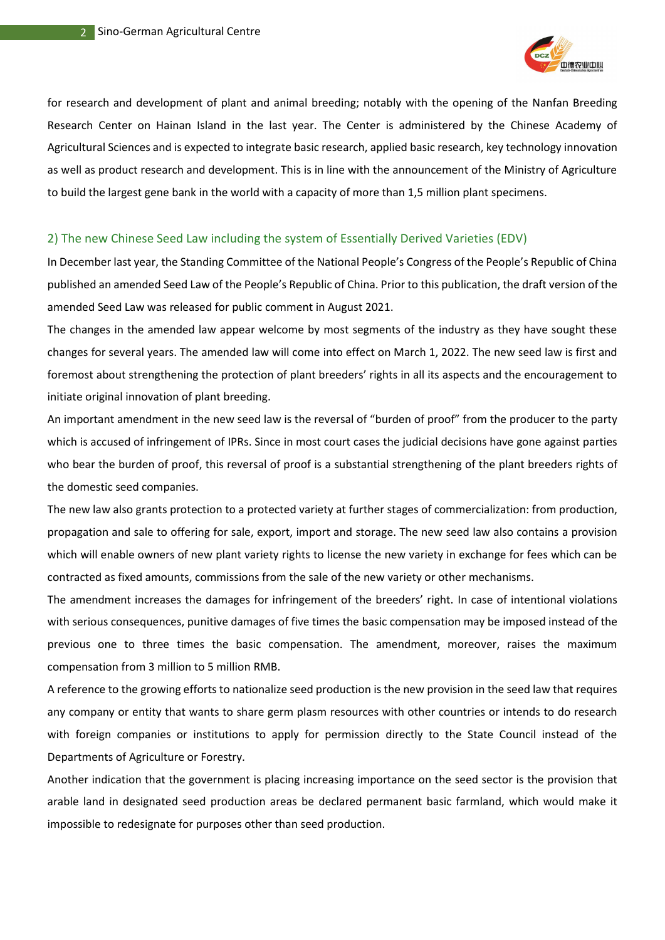

for research and development of plant and animal breeding; notably with the opening of the Nanfan Breeding Research Center on Hainan Island in the last year. The Center is administered by the Chinese Academy of Agricultural Sciences and is expected to integrate basic research, applied basic research, key technology innovation as well as product research and development. This is in line with the announcement of the Ministry of Agriculture to build the largest gene bank in the world with a capacity of more than 1,5 million plant specimens.

#### 2) The new Chinese Seed Law including the system of Essentially Derived Varieties (EDV)

In December last year, the Standing Committee of the National People's Congress of the People's Republic of China published an amended Seed Law of the People's Republic of China. Prior to this publication, the draft version of the amended Seed Law was released for public comment in August 2021.

The changes in the amended law appear welcome by most segments of the industry as they have sought these changes for several years. The amended law will come into effect on March 1, 2022. The new seed law is first and foremost about strengthening the protection of plant breeders' rights in all its aspects and the encouragement to initiate original innovation of plant breeding.

An important amendment in the new seed law is the reversal of "burden of proof" from the producer to the party which is accused of infringement of IPRs. Since in most court cases the judicial decisions have gone against parties who bear the burden of proof, this reversal of proof is a substantial strengthening of the plant breeders rights of the domestic seed companies.

The new law also grants protection to a protected variety at further stages of commercialization: from production, propagation and sale to offering for sale, export, import and storage. The new seed law also contains a provision which will enable owners of new plant variety rights to license the new variety in exchange for fees which can be contracted as fixed amounts, commissions from the sale of the new variety or other mechanisms.

The amendment increases the damages for infringement of the breeders' right. In case of intentional violations with serious consequences, punitive damages of five times the basic compensation may be imposed instead of the previous one to three times the basic compensation. The amendment, moreover, raises the maximum compensation from 3 million to 5 million RMB.

A reference to the growing efforts to nationalize seed production is the new provision in the seed law that requires any company or entity that wants to share germ plasm resources with other countries or intends to do research with foreign companies or institutions to apply for permission directly to the State Council instead of the Departments of Agriculture or Forestry.

Another indication that the government is placing increasing importance on the seed sector is the provision that arable land in designated seed production areas be declared permanent basic farmland, which would make it impossible to redesignate for purposes other than seed production.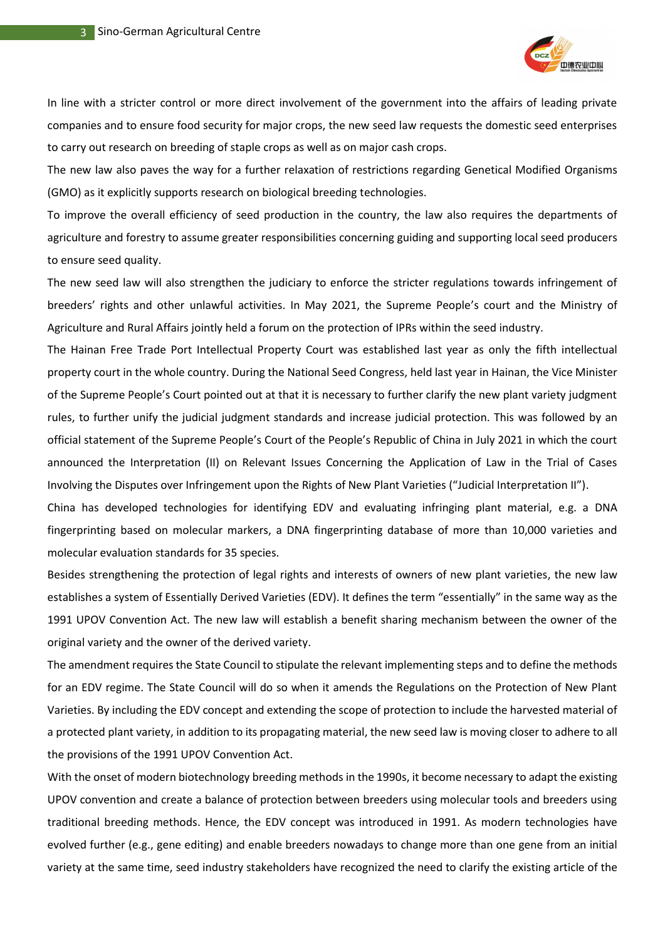

In line with a stricter control or more direct involvement of the government into the affairs of leading private companies and to ensure food security for major crops, the new seed law requests the domestic seed enterprises to carry out research on breeding of staple crops as well as on major cash crops.

The new law also paves the way for a further relaxation of restrictions regarding Genetical Modified Organisms (GMO) as it explicitly supports research on biological breeding technologies.

To improve the overall efficiency of seed production in the country, the law also requires the departments of agriculture and forestry to assume greater responsibilities concerning guiding and supporting local seed producers to ensure seed quality.

The new seed law will also strengthen the judiciary to enforce the stricter regulations towards infringement of breeders' rights and other unlawful activities. In May 2021, the Supreme People's court and the Ministry of Agriculture and Rural Affairs jointly held a forum on the protection of IPRs within the seed industry.

The Hainan Free Trade Port Intellectual Property Court was established last year as only the fifth intellectual property court in the whole country. During the National Seed Congress, held last year in Hainan, the Vice Minister of the Supreme People's Court pointed out at that it is necessary to further clarify the new plant variety judgment rules, to further unify the judicial judgment standards and increase judicial protection. This was followed by an official statement of the Supreme People's Court of the People's Republic of China in July 2021 in which the court announced the Interpretation (II) on Relevant Issues Concerning the Application of Law in the Trial of Cases Involving the Disputes over Infringement upon the Rights of New Plant Varieties ("Judicial Interpretation II").

China has developed technologies for identifying EDV and evaluating infringing plant material, e.g. a DNA fingerprinting based on molecular markers, a DNA fingerprinting database of more than 10,000 varieties and molecular evaluation standards for 35 species.

Besides strengthening the protection of legal rights and interests of owners of new plant varieties, the new law establishes a system of Essentially Derived Varieties (EDV). It defines the term "essentially" in the same way as the 1991 UPOV Convention Act. The new law will establish a benefit sharing mechanism between the owner of the original variety and the owner of the derived variety.

The amendment requires the State Council to stipulate the relevant implementing steps and to define the methods for an EDV regime. The State Council will do so when it amends the Regulations on the Protection of New Plant Varieties. By including the EDV concept and extending the scope of protection to include the harvested material of a protected plant variety, in addition to its propagating material, the new seed law is moving closer to adhere to all the provisions of the 1991 UPOV Convention Act.

With the onset of modern biotechnology breeding methods in the 1990s, it become necessary to adapt the existing UPOV convention and create a balance of protection between breeders using molecular tools and breeders using traditional breeding methods. Hence, the EDV concept was introduced in 1991. As modern technologies have evolved further (e.g., gene editing) and enable breeders nowadays to change more than one gene from an initial variety at the same time, seed industry stakeholders have recognized the need to clarify the existing article of the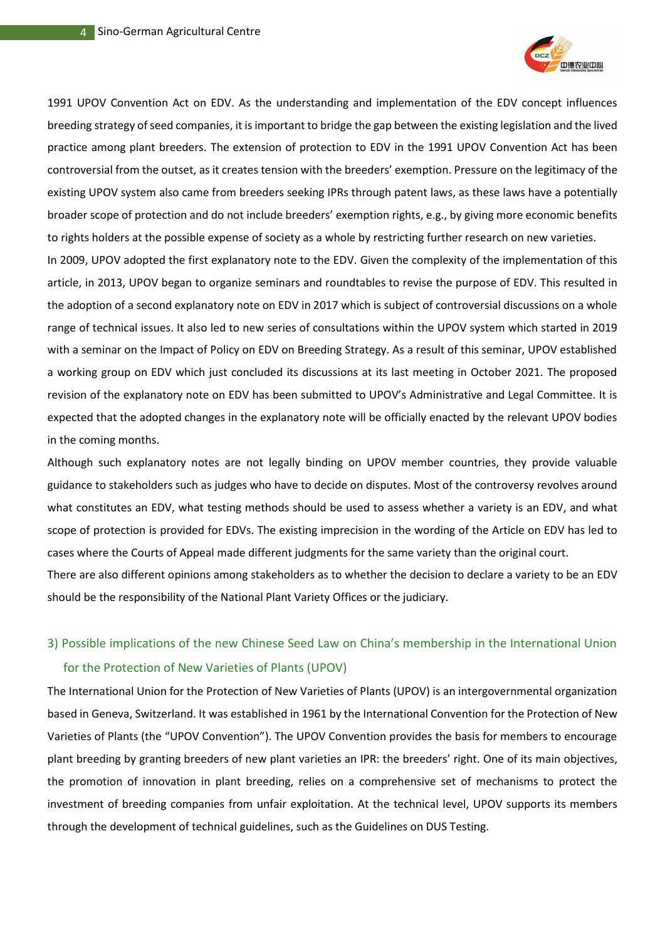

1991 UPOV Convention Act on EDV. As the understanding and implementation of the EDV concept influences breeding strategy of seed companies, it is important to bridge the gap between the existing legislation and the lived practice among plant breeders. The extension of protection to EDV in the 1991 UPOV Convention Act has been controversial from the outset, as it creates tension with the breeders' exemption. Pressure on the legitimacy of the existing UPOV system also came from breeders seeking IPRs through patent laws, as these laws have a potentially broader scope of protection and do not include breeders' exemption rights, e.g., by giving more economic benefits to rights holders at the possible expense of society as a whole by restricting further research on new varieties.

In 2009, UPOV adopted the first explanatory note to the EDV. Given the complexity of the implementation of this article, in 2013, UPOV began to organize seminars and roundtables to revise the purpose of EDV. This resulted in the adoption of a second explanatory note on EDV in 2017 which is subject of controversial discussions on a whole range of technical issues. It also led to new series of consultations within the UPOV system which started in 2019 with a seminar on the Impact of Policy on EDV on Breeding Strategy. As a result of this seminar, UPOV established a working group on EDV which just concluded its discussions at its last meeting in October 2021. The proposed revision of the explanatory note on EDV has been submitted to UPOV's Administrative and Legal Committee. It is expected that the adopted changes in the explanatory note will be officially enacted by the relevant UPOV bodies in the coming months.

Although such explanatory notes are not legally binding on UPOV member countries, they provide valuable guidance to stakeholders such as judges who have to decide on disputes. Most of the controversy revolves around what constitutes an EDV, what testing methods should be used to assess whether a variety is an EDV, and what scope of protection is provided for EDVs. The existing imprecision in the wording of the Article on EDV has led to cases where the Courts of Appeal made different judgments for the same variety than the original court. There are also different opinions among stakeholders as to whether the decision to declare a variety to be an EDV should be the responsibility of the National Plant Variety Offices or the judiciary.

## 3) Possible implications of the new Chinese Seed Law on China's membership in the International Union for the Protection of New Varieties of Plants (UPOV)

The International Union for the Protection of New Varieties of Plants (UPOV) is an intergovernmental organization based in Geneva, Switzerland. It was established in 1961 by the International Convention for the Protection of New Varieties of Plants (the "UPOV Convention"). The UPOV Convention provides the basis for members to encourage plant breeding by granting breeders of new plant varieties an IPR: the breeders' right. One of its main objectives, the promotion of innovation in plant breeding, relies on a comprehensive set of mechanisms to protect the investment of breeding companies from unfair exploitation. At the technical level, UPOV supports its members through the development of technical guidelines, such as the Guidelines on DUS Testing.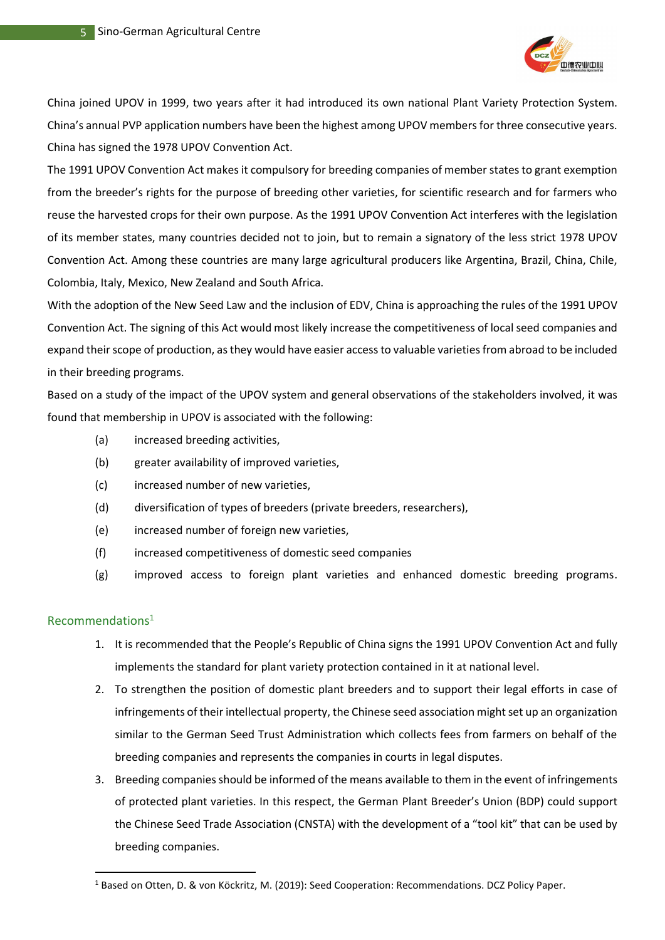

China joined UPOV in 1999, two years after it had introduced its own national Plant Variety Protection System. China's annual PVP application numbers have been the highest among UPOV members for three consecutive years. China has signed the 1978 UPOV Convention Act.

The 1991 UPOV Convention Act makes it compulsory for breeding companies of member states to grant exemption from the breeder's rights for the purpose of breeding other varieties, for scientific research and for farmers who reuse the harvested crops for their own purpose. As the 1991 UPOV Convention Act interferes with the legislation of its member states, many countries decided not to join, but to remain a signatory of the less strict 1978 UPOV Convention Act. Among these countries are many large agricultural producers like Argentina, Brazil, China, Chile, Colombia, Italy, Mexico, New Zealand and South Africa.

With the adoption of the New Seed Law and the inclusion of EDV, China is approaching the rules of the 1991 UPOV Convention Act. The signing of this Act would most likely increase the competitiveness of local seed companies and expand their scope of production, as they would have easier access to valuable varieties from abroad to be included in their breeding programs.

Based on a study of the impact of the UPOV system and general observations of the stakeholders involved, it was found that membership in UPOV is associated with the following:

- (a) increased breeding activities,
- (b) greater availability of improved varieties,
- (c) increased number of new varieties,
- (d) diversification of types of breeders (private breeders, researchers),
- (e) increased number of foreign new varieties,
- (f) increased competitiveness of domestic seed companies
- (g) improved access to foreign plant varieties and enhanced domestic breeding programs.

## Recommendations<sup>1</sup>

- 1. It is recommended that the People's Republic of China signs the 1991 UPOV Convention Act and fully implements the standard for plant variety protection contained in it at national level.
- 2. To strengthen the position of domestic plant breeders and to support their legal efforts in case of infringements of their intellectual property, the Chinese seed association might set up an organization similar to the German Seed Trust Administration which collects fees from farmers on behalf of the breeding companies and represents the companies in courts in legal disputes.
- 3. Breeding companies should be informed of the means available to them in the event of infringements of protected plant varieties. In this respect, the German Plant Breeder's Union (BDP) could support the Chinese Seed Trade Association (CNSTA) with the development of a "tool kit" that can be used by breeding companies.

<sup>&</sup>lt;sup>1</sup> Based on Otten, D. & von Köckritz, M. (2019): Seed Cooperation: Recommendations. DCZ Policy Paper.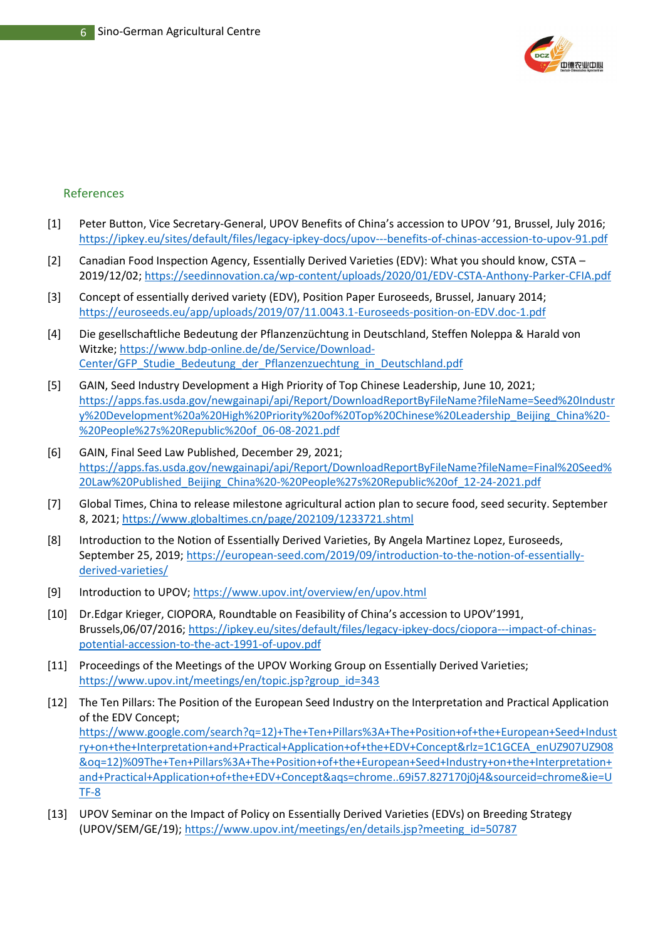

## References

- [1] Peter Button, Vice Secretary-General, UPOV Benefits of China's accession to UPOV '91, Brussel, July 2016; <https://ipkey.eu/sites/default/files/legacy-ipkey-docs/upov---benefits-of-chinas-accession-to-upov-91.pdf>
- [2] Canadian Food Inspection Agency, Essentially Derived Varieties (EDV): What you should know, CSTA 2019/12/02[; https://seedinnovation.ca/wp-content/uploads/2020/01/EDV-CSTA-Anthony-Parker-CFIA.pdf](https://seedinnovation.ca/wp-content/uploads/2020/01/EDV-CSTA-Anthony-Parker-CFIA.pdf)
- [3] Concept of essentially derived variety (EDV), Position Paper Euroseeds, Brussel, January 2014; <https://euroseeds.eu/app/uploads/2019/07/11.0043.1-Euroseeds-position-on-EDV.doc-1.pdf>
- [4] Die gesellschaftliche Bedeutung der Pflanzenzüchtung in Deutschland, Steffen Noleppa & Harald von Witzke; [https://www.bdp-online.de/de/Service/Download-](https://www.bdp-online.de/de/Service/Download-Center/GFP_Studie_Bedeutung_der_Pflanzenzuechtung_in_Deutschland.pdf)[Center/GFP\\_Studie\\_Bedeutung\\_der\\_Pflanzenzuechtung\\_in\\_Deutschland.pdf](https://www.bdp-online.de/de/Service/Download-Center/GFP_Studie_Bedeutung_der_Pflanzenzuechtung_in_Deutschland.pdf)
- [5] GAIN, Seed Industry Development a High Priority of Top Chinese Leadership, June 10, 2021; [https://apps.fas.usda.gov/newgainapi/api/Report/DownloadReportByFileName?fileName=Seed%20Industr](https://apps.fas.usda.gov/newgainapi/api/Report/DownloadReportByFileName?fileName=Seed%20Industry%20Development%20a%20High%20Priority%20of%20Top%20Chinese%20Leadership_Beijing_China%20-%20People%27s%20Republic%20of_06-08-2021.pdf) [y%20Development%20a%20High%20Priority%20of%20Top%20Chinese%20Leadership\\_Beijing\\_China%20-](https://apps.fas.usda.gov/newgainapi/api/Report/DownloadReportByFileName?fileName=Seed%20Industry%20Development%20a%20High%20Priority%20of%20Top%20Chinese%20Leadership_Beijing_China%20-%20People%27s%20Republic%20of_06-08-2021.pdf) [%20People%27s%20Republic%20of\\_06-08-2021.pdf](https://apps.fas.usda.gov/newgainapi/api/Report/DownloadReportByFileName?fileName=Seed%20Industry%20Development%20a%20High%20Priority%20of%20Top%20Chinese%20Leadership_Beijing_China%20-%20People%27s%20Republic%20of_06-08-2021.pdf)
- [6] GAIN, Final Seed Law Published, December 29, 2021; [https://apps.fas.usda.gov/newgainapi/api/Report/DownloadReportByFileName?fileName=Final%20Seed%](https://apps.fas.usda.gov/newgainapi/api/Report/DownloadReportByFileName?fileName=Final%20Seed%20Law%20Published_Beijing_China%20-%20People%27s%20Republic%20of_12-24-2021.pdf) [20Law%20Published\\_Beijing\\_China%20-%20People%27s%20Republic%20of\\_12-24-2021.pdf](https://apps.fas.usda.gov/newgainapi/api/Report/DownloadReportByFileName?fileName=Final%20Seed%20Law%20Published_Beijing_China%20-%20People%27s%20Republic%20of_12-24-2021.pdf)
- [7] Global Times, China to release milestone agricultural action plan to secure food, seed security. September 8, 2021[; https://www.globaltimes.cn/page/202109/1233721.shtml](https://www.globaltimes.cn/page/202109/1233721.shtml)
- [8] Introduction to the Notion of Essentially Derived Varieties, By Angela Martinez Lopez, Euroseeds, September 25, 2019; [https://european-seed.com/2019/09/introduction-to-the-notion-of-essentially](https://european-seed.com/2019/09/introduction-to-the-notion-of-essentially-derived-varieties/)[derived-varieties/](https://european-seed.com/2019/09/introduction-to-the-notion-of-essentially-derived-varieties/)
- [9] Introduction to UPOV;<https://www.upov.int/overview/en/upov.html>
- [10] Dr.Edgar Krieger, CIOPORA, Roundtable on Feasibility of China's accession to UPOV'1991, Brussels,06/07/2016[; https://ipkey.eu/sites/default/files/legacy-ipkey-docs/ciopora---impact-of-chinas](https://ipkey.eu/sites/default/files/legacy-ipkey-docs/ciopora---impact-of-chinas-potential-accession-to-the-act-1991-of-upov.pdf)[potential-accession-to-the-act-1991-of-upov.pdf](https://ipkey.eu/sites/default/files/legacy-ipkey-docs/ciopora---impact-of-chinas-potential-accession-to-the-act-1991-of-upov.pdf)
- [11] Proceedings of the Meetings of the UPOV Working Group on Essentially Derived Varieties; [https://www.upov.int/meetings/en/topic.jsp?group\\_id=343](https://www.upov.int/meetings/en/topic.jsp?group_id=343)
- [12] The Ten Pillars: The Position of the European Seed Industry on the Interpretation and Practical Application of the EDV Concept; [https://www.google.com/search?q=12\)+The+Ten+Pillars%3A+The+Position+of+the+European+Seed+Indust](https://www.google.com/search?q=12)+The+Ten+Pillars%3A+The+Position+of+the+European+Seed+Industry+on+the+Interpretation+and+Practical+Application+of+the+EDV+Concept&rlz=1C1GCEA_enUZ907UZ908&oq=12)%09The+Ten+Pillars%3A+The+Position+of+the+European+Seed+Industry+on+the+Interpretation+and+Practical+Application+of+the+EDV+Concept&aqs=chrome..69i57.827170j0j4&sourceid=chrome&ie=UTF-8) [ry+on+the+Interpretation+and+Practical+Application+of+the+EDV+Concept&rlz=1C1GCEA\\_enUZ907UZ908](https://www.google.com/search?q=12)+The+Ten+Pillars%3A+The+Position+of+the+European+Seed+Industry+on+the+Interpretation+and+Practical+Application+of+the+EDV+Concept&rlz=1C1GCEA_enUZ907UZ908&oq=12)%09The+Ten+Pillars%3A+The+Position+of+the+European+Seed+Industry+on+the+Interpretation+and+Practical+Application+of+the+EDV+Concept&aqs=chrome..69i57.827170j0j4&sourceid=chrome&ie=UTF-8) [&oq=12\)%09The+Ten+Pillars%3A+The+Position+of+the+European+Seed+Industry+on+the+Interpretation+](https://www.google.com/search?q=12)+The+Ten+Pillars%3A+The+Position+of+the+European+Seed+Industry+on+the+Interpretation+and+Practical+Application+of+the+EDV+Concept&rlz=1C1GCEA_enUZ907UZ908&oq=12)%09The+Ten+Pillars%3A+The+Position+of+the+European+Seed+Industry+on+the+Interpretation+and+Practical+Application+of+the+EDV+Concept&aqs=chrome..69i57.827170j0j4&sourceid=chrome&ie=UTF-8) [and+Practical+Application+of+the+EDV+Concept&aqs=chrome..69i57.827170j0j4&sourceid=chrome&ie=U](https://www.google.com/search?q=12)+The+Ten+Pillars%3A+The+Position+of+the+European+Seed+Industry+on+the+Interpretation+and+Practical+Application+of+the+EDV+Concept&rlz=1C1GCEA_enUZ907UZ908&oq=12)%09The+Ten+Pillars%3A+The+Position+of+the+European+Seed+Industry+on+the+Interpretation+and+Practical+Application+of+the+EDV+Concept&aqs=chrome..69i57.827170j0j4&sourceid=chrome&ie=UTF-8) [TF-8](https://www.google.com/search?q=12)+The+Ten+Pillars%3A+The+Position+of+the+European+Seed+Industry+on+the+Interpretation+and+Practical+Application+of+the+EDV+Concept&rlz=1C1GCEA_enUZ907UZ908&oq=12)%09The+Ten+Pillars%3A+The+Position+of+the+European+Seed+Industry+on+the+Interpretation+and+Practical+Application+of+the+EDV+Concept&aqs=chrome..69i57.827170j0j4&sourceid=chrome&ie=UTF-8)
- [13] UPOV Seminar on the Impact of Policy on Essentially Derived Varieties (EDVs) on Breeding Strategy (UPOV/SEM/GE/19); [https://www.upov.int/meetings/en/details.jsp?meeting\\_id=50787](https://www.upov.int/meetings/en/details.jsp?meeting_id=50787)